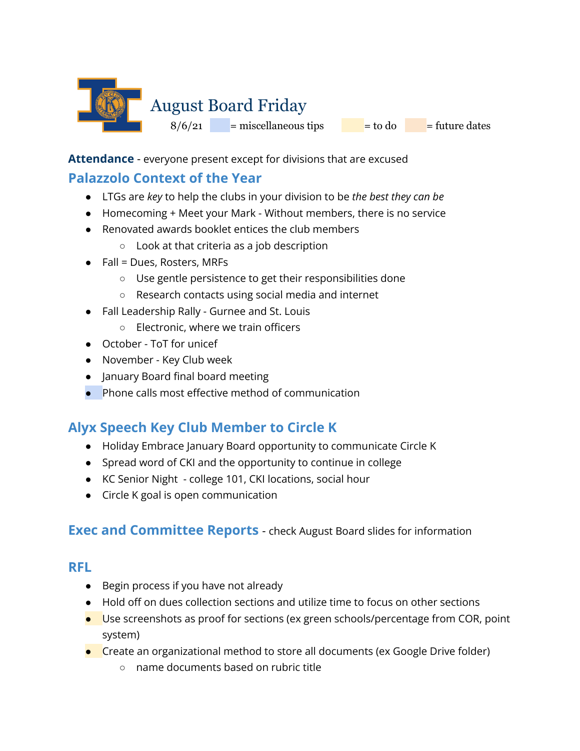

**Attendance** - everyone present except for divisions that are excused

### **Palazzolo Context of the Year**

- LTGs are *key* to help the clubs in your division to be *the best they can be*
- Homecoming + Meet your Mark Without members, there is no service
- Renovated awards booklet entices the club members
	- Look at that criteria as a job description
- $\bullet$  Fall = Dues, Rosters, MRFs
	- Use gentle persistence to get their responsibilities done
	- Research contacts using social media and internet
- Fall Leadership Rally Gurnee and St. Louis
	- Electronic, where we train officers
- October ToT for unicef
- November Key Club week
- January Board final board meeting
- Phone calls most effective method of communication

# **Alyx Speech Key Club Member to Circle K**

- Holiday Embrace January Board opportunity to communicate Circle K
- Spread word of CKI and the opportunity to continue in college
- KC Senior Night college 101, CKI locations, social hour
- Circle K goal is open communication

### **Exec and Committee Reports** - check August Board slides for information

### **RFL**

- Begin process if you have not already
- Hold off on dues collection sections and utilize time to focus on other sections
- Use screenshots as proof for sections (ex green schools/percentage from COR, point system)
- Create an organizational method to store all documents (ex Google Drive folder)
	- name documents based on rubric title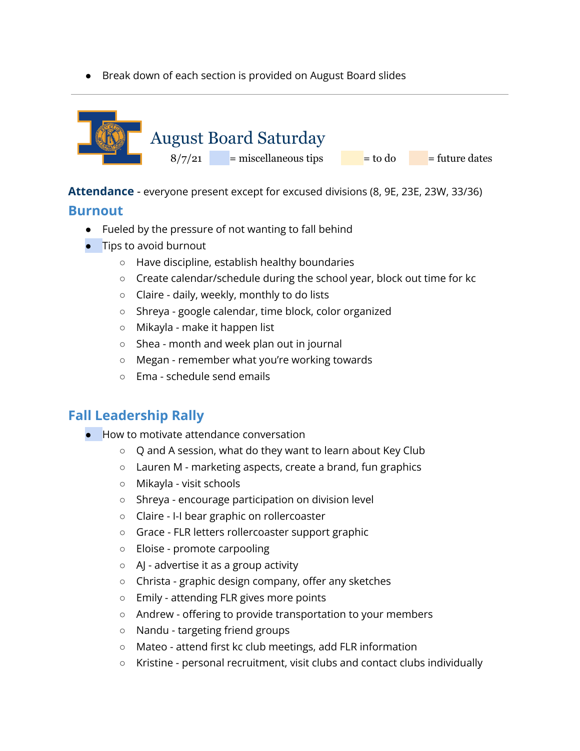● Break down of each section is provided on August Board slides



**Attendance** - everyone present except for excused divisions (8, 9E, 23E, 23W, 33/36)

### **Burnout**

- Fueled by the pressure of not wanting to fall behind
- Tips to avoid burnout
	- Have discipline, establish healthy boundaries
	- Create calendar/schedule during the school year, block out time for kc
	- Claire daily, weekly, monthly to do lists
	- Shreya google calendar, time block, color organized
	- Mikayla make it happen list
	- Shea month and week plan out in journal
	- Megan remember what you're working towards
	- Ema schedule send emails

# **Fall Leadership Rally**

- How to motivate attendance conversation
	- Q and A session, what do they want to learn about Key Club
	- Lauren M marketing aspects, create a brand, fun graphics
	- Mikayla visit schools
	- Shreya encourage participation on division level
	- Claire I-I bear graphic on rollercoaster
	- Grace FLR letters rollercoaster support graphic
	- Eloise promote carpooling
	- AJ advertise it as a group activity
	- Christa graphic design company, offer any sketches
	- Emily attending FLR gives more points
	- Andrew offering to provide transportation to your members
	- Nandu targeting friend groups
	- Mateo attend first kc club meetings, add FLR information
	- Kristine personal recruitment, visit clubs and contact clubs individually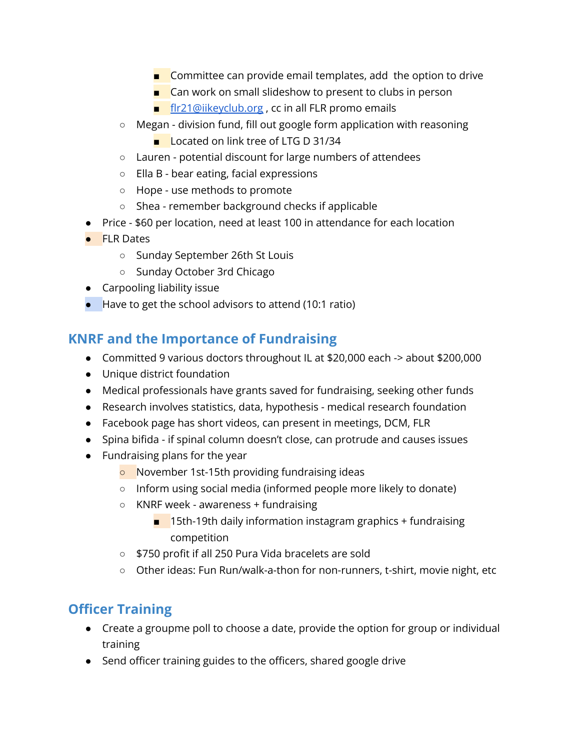- Committee can provide email templates, add the option to drive
- Can work on small slideshow to present to clubs in person
- [flr21@iikeyclub.org](mailto:flr21@iikeyclub.org), cc in all FLR promo emails
- Megan division fund, fill out google form application with reasoning
	- Located on link tree of LTG D 31/34
- Lauren potential discount for large numbers of attendees
- Ella B bear eating, facial expressions
- Hope use methods to promote
- Shea remember background checks if applicable
- Price \$60 per location, need at least 100 in attendance for each location
- FLR Dates
	- Sunday September 26th St Louis
	- Sunday October 3rd Chicago
- Carpooling liability issue
- Have to get the school advisors to attend (10:1 ratio)

# **KNRF and the Importance of Fundraising**

- Committed 9 various doctors throughout IL at \$20,000 each -> about \$200,000
- Unique district foundation
- Medical professionals have grants saved for fundraising, seeking other funds
- Research involves statistics, data, hypothesis medical research foundation
- Facebook page has short videos, can present in meetings, DCM, FLR
- Spina bifida if spinal column doesn't close, can protrude and causes issues
- Fundraising plans for the year
	- November 1st-15th providing fundraising ideas
	- Inform using social media (informed people more likely to donate)
	- KNRF week awareness + fundraising
		- $\blacksquare$  15th-19th daily information instagram graphics + fundraising competition
	- \$750 profit if all 250 Pura Vida bracelets are sold
	- Other ideas: Fun Run/walk-a-thon for non-runners, t-shirt, movie night, etc

# **Officer Training**

- Create a groupme poll to choose a date, provide the option for group or individual training
- Send officer training guides to the officers, shared google drive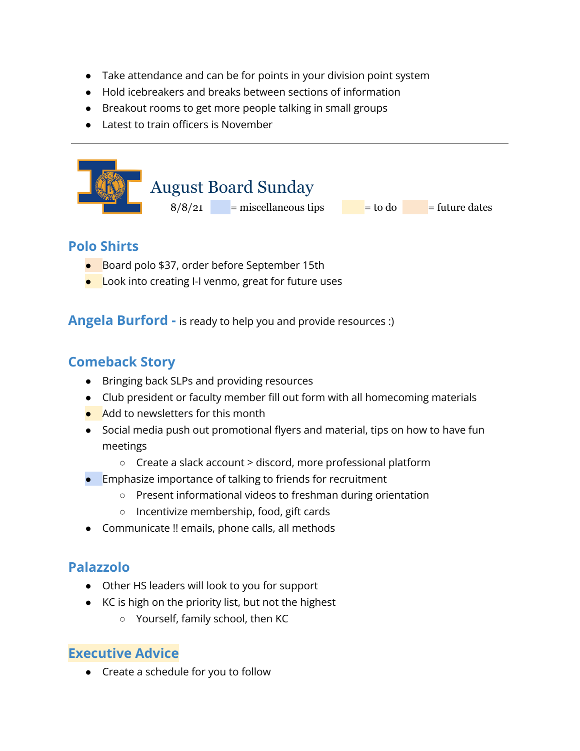- Take attendance and can be for points in your division point system
- Hold icebreakers and breaks between sections of information
- Breakout rooms to get more people talking in small groups
- Latest to train officers is November



## **Polo Shirts**

- Board polo \$37, order before September 15th
- Look into creating I-I venmo, great for future uses

**Angela Burford -** is ready to help you and provide resources :)

## **Comeback Story**

- Bringing back SLPs and providing resources
- Club president or faculty member fill out form with all homecoming materials
- Add to newsletters for this month
- Social media push out promotional flyers and material, tips on how to have fun meetings
	- Create a slack account > discord, more professional platform
- Emphasize importance of talking to friends for recruitment
	- Present informational videos to freshman during orientation
	- Incentivize membership, food, gift cards
- Communicate !! emails, phone calls, all methods

# **Palazzolo**

- Other HS leaders will look to you for support
- KC is high on the priority list, but not the highest
	- Yourself, family school, then KC

### **Executive Advice**

● Create a schedule for you to follow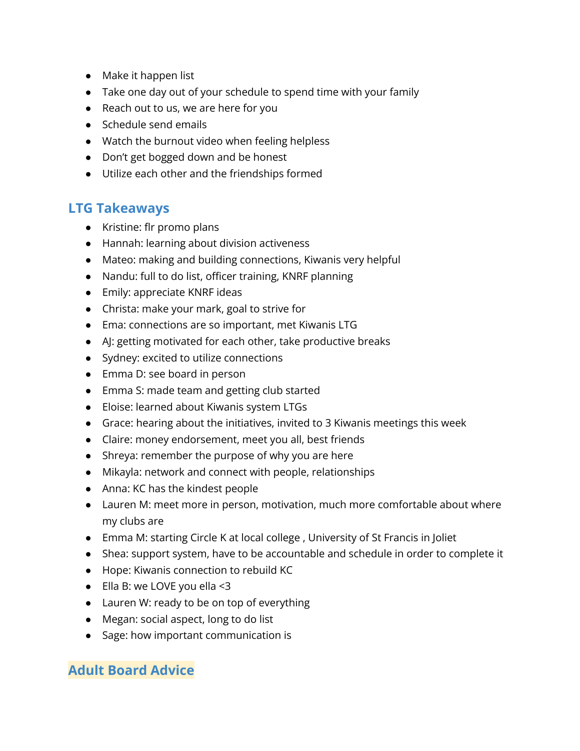- Make it happen list
- Take one day out of your schedule to spend time with your family
- Reach out to us, we are here for you
- Schedule send emails
- Watch the burnout video when feeling helpless
- Don't get bogged down and be honest
- Utilize each other and the friendships formed

### **LTG Takeaways**

- Kristine: flr promo plans
- Hannah: learning about division activeness
- Mateo: making and building connections, Kiwanis very helpful
- Nandu: full to do list, officer training, KNRF planning
- Emily: appreciate KNRF ideas
- Christa: make your mark, goal to strive for
- Ema: connections are so important, met Kiwanis LTG
- AJ: getting motivated for each other, take productive breaks
- Sydney: excited to utilize connections
- Emma D: see board in person
- Emma S: made team and getting club started
- Eloise: learned about Kiwanis system LTGs
- Grace: hearing about the initiatives, invited to 3 Kiwanis meetings this week
- Claire: money endorsement, meet you all, best friends
- Shreya: remember the purpose of why you are here
- Mikayla: network and connect with people, relationships
- Anna: KC has the kindest people
- Lauren M: meet more in person, motivation, much more comfortable about where my clubs are
- Emma M: starting Circle K at local college , University of St Francis in Joliet
- Shea: support system, have to be accountable and schedule in order to complete it
- Hope: Kiwanis connection to rebuild KC
- $\bullet$  Ella B: we LOVE you ella <3
- Lauren W: ready to be on top of everything
- Megan: social aspect, long to do list
- Sage: how important communication is

### **Adult Board Advice**